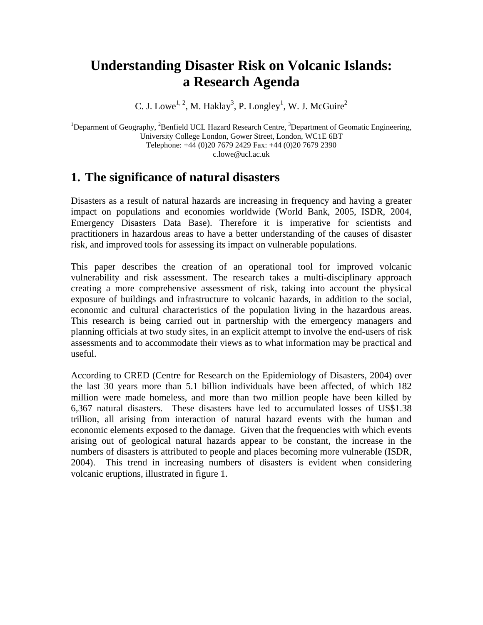# **Understanding Disaster Risk on Volcanic Islands: a Research Agenda**

C. J. Lowe<sup>1, 2</sup>, M. Haklay<sup>3</sup>, P. Longley<sup>1</sup>, W. J. McGuire<sup>2</sup>

<sup>1</sup>Deparment of Geography, <sup>2</sup>Benfield UCL Hazard Research Centre, <sup>3</sup>Department of Geomatic Engineering, University College London, Gower Street, London, WC1E 6BT Telephone: +44 (0)20 7679 2429 Fax: +44 (0)20 7679 2390 c.lowe@ucl.ac.uk

# **1. The significance of natural disasters**

Disasters as a result of natural hazards are increasing in frequency and having a greater impact on populations and economies worldwide (World Bank, 2005, ISDR, 2004, Emergency Disasters Data Base). Therefore it is imperative for scientists and practitioners in hazardous areas to have a better understanding of the causes of disaster risk, and improved tools for assessing its impact on vulnerable populations.

This paper describes the creation of an operational tool for improved volcanic vulnerability and risk assessment. The research takes a multi-disciplinary approach creating a more comprehensive assessment of risk, taking into account the physical exposure of buildings and infrastructure to volcanic hazards, in addition to the social, economic and cultural characteristics of the population living in the hazardous areas. This research is being carried out in partnership with the emergency managers and planning officials at two study sites, in an explicit attempt to involve the end-users of risk assessments and to accommodate their views as to what information may be practical and useful.

According to CRED (Centre for Research on the Epidemiology of Disasters, 2004) over the last 30 years more than 5.1 billion individuals have been affected, of which 182 million were made homeless, and more than two million people have been killed by 6,367 natural disasters. These disasters have led to accumulated losses of US\$1.38 trillion, all arising from interaction of natural hazard events with the human and economic elements exposed to the damage. Given that the frequencies with which events arising out of geological natural hazards appear to be constant, the increase in the numbers of disasters is attributed to people and places becoming more vulnerable (ISDR, 2004). This trend in increasing numbers of disasters is evident when considering volcanic eruptions, illustrated in figure 1.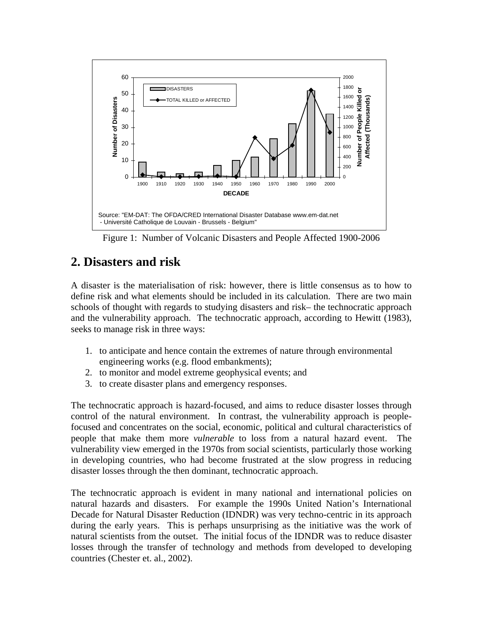

Figure 1: Number of Volcanic Disasters and People Affected 1900-2006

### **2. Disasters and risk**

A disaster is the materialisation of risk: however, there is little consensus as to how to define risk and what elements should be included in its calculation. There are two main schools of thought with regards to studying disasters and risk– the technocratic approach and the vulnerability approach. The technocratic approach, according to Hewitt (1983), seeks to manage risk in three ways:

- 1. to anticipate and hence contain the extremes of nature through environmental engineering works (e.g. flood embankments);
- 2. to monitor and model extreme geophysical events; and
- 3. to create disaster plans and emergency responses.

The technocratic approach is hazard-focused, and aims to reduce disaster losses through control of the natural environment. In contrast, the vulnerability approach is peoplefocused and concentrates on the social, economic, political and cultural characteristics of people that make them more *vulnerable* to loss from a natural hazard event. The vulnerability view emerged in the 1970s from social scientists, particularly those working in developing countries, who had become frustrated at the slow progress in reducing disaster losses through the then dominant, technocratic approach.

The technocratic approach is evident in many national and international policies on natural hazards and disasters. For example the 1990s United Nation's International Decade for Natural Disaster Reduction (IDNDR) was very techno-centric in its approach during the early years. This is perhaps unsurprising as the initiative was the work of natural scientists from the outset. The initial focus of the IDNDR was to reduce disaster losses through the transfer of technology and methods from developed to developing countries (Chester et. al., 2002).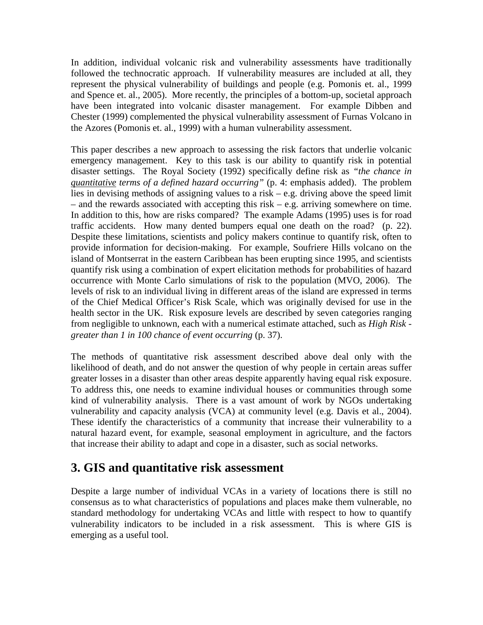In addition, individual volcanic risk and vulnerability assessments have traditionally followed the technocratic approach. If vulnerability measures are included at all, they represent the physical vulnerability of buildings and people (e.g. Pomonis et. al., 1999 and Spence et. al., 2005). More recently, the principles of a bottom-up, societal approach have been integrated into volcanic disaster management. For example Dibben and Chester (1999) complemented the physical vulnerability assessment of Furnas Volcano in the Azores (Pomonis et. al., 1999) with a human vulnerability assessment.

This paper describes a new approach to assessing the risk factors that underlie volcanic emergency management. Key to this task is our ability to quantify risk in potential disaster settings. The Royal Society (1992) specifically define risk as *"the chance in quantitative terms of a defined hazard occurring"* (p. 4: emphasis added). The problem lies in devising methods of assigning values to a risk – e.g. driving above the speed limit – and the rewards associated with accepting this risk – e.g. arriving somewhere on time. In addition to this, how are risks compared? The example Adams (1995) uses is for road traffic accidents. How many dented bumpers equal one death on the road? (p. 22). Despite these limitations, scientists and policy makers continue to quantify risk, often to provide information for decision-making. For example, Soufriere Hills volcano on the island of Montserrat in the eastern Caribbean has been erupting since 1995, and scientists quantify risk using a combination of expert elicitation methods for probabilities of hazard occurrence with Monte Carlo simulations of risk to the population (MVO, 2006). The levels of risk to an individual living in different areas of the island are expressed in terms of the Chief Medical Officer's Risk Scale, which was originally devised for use in the health sector in the UK. Risk exposure levels are described by seven categories ranging from negligible to unknown, each with a numerical estimate attached, such as *High Risk greater than 1 in 100 chance of event occurring* (p. 37).

The methods of quantitative risk assessment described above deal only with the likelihood of death, and do not answer the question of why people in certain areas suffer greater losses in a disaster than other areas despite apparently having equal risk exposure. To address this, one needs to examine individual houses or communities through some kind of vulnerability analysis. There is a vast amount of work by NGOs undertaking vulnerability and capacity analysis (VCA) at community level (e.g. Davis et al., 2004). These identify the characteristics of a community that increase their vulnerability to a natural hazard event, for example, seasonal employment in agriculture, and the factors that increase their ability to adapt and cope in a disaster, such as social networks.

# **3. GIS and quantitative risk assessment**

Despite a large number of individual VCAs in a variety of locations there is still no consensus as to what characteristics of populations and places make them vulnerable, no standard methodology for undertaking VCAs and little with respect to how to quantify vulnerability indicators to be included in a risk assessment. This is where GIS is emerging as a useful tool.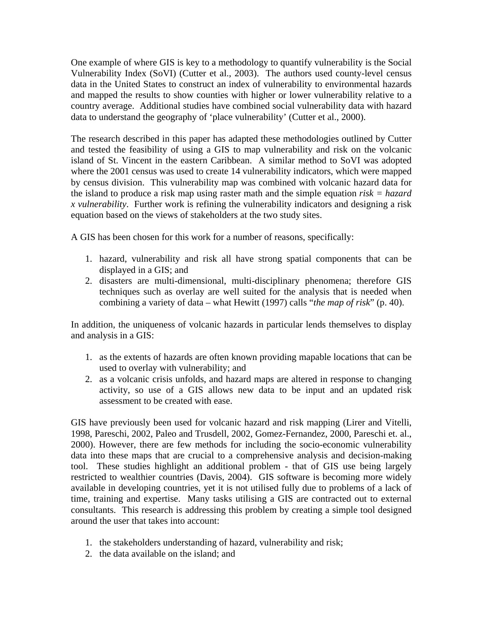One example of where GIS is key to a methodology to quantify vulnerability is the Social Vulnerability Index (SoVI) (Cutter et al., 2003). The authors used county-level census data in the United States to construct an index of vulnerability to environmental hazards and mapped the results to show counties with higher or lower vulnerability relative to a country average. Additional studies have combined social vulnerability data with hazard data to understand the geography of 'place vulnerability' (Cutter et al., 2000).

The research described in this paper has adapted these methodologies outlined by Cutter and tested the feasibility of using a GIS to map vulnerability and risk on the volcanic island of St. Vincent in the eastern Caribbean. A similar method to SoVI was adopted where the 2001 census was used to create 14 vulnerability indicators, which were mapped by census division. This vulnerability map was combined with volcanic hazard data for the island to produce a risk map using raster math and the simple equation *risk = hazard x vulnerability*. Further work is refining the vulnerability indicators and designing a risk equation based on the views of stakeholders at the two study sites.

A GIS has been chosen for this work for a number of reasons, specifically:

- 1. hazard, vulnerability and risk all have strong spatial components that can be displayed in a GIS; and
- 2. disasters are multi-dimensional, multi-disciplinary phenomena; therefore GIS techniques such as overlay are well suited for the analysis that is needed when combining a variety of data – what Hewitt (1997) calls "*the map of risk*" (p. 40).

In addition, the uniqueness of volcanic hazards in particular lends themselves to display and analysis in a GIS:

- 1. as the extents of hazards are often known providing mapable locations that can be used to overlay with vulnerability; and
- 2. as a volcanic crisis unfolds, and hazard maps are altered in response to changing activity, so use of a GIS allows new data to be input and an updated risk assessment to be created with ease.

GIS have previously been used for volcanic hazard and risk mapping (Lirer and Vitelli, 1998, Pareschi, 2002, Paleo and Trusdell, 2002, Gomez-Fernandez, 2000, Pareschi et. al., 2000). However, there are few methods for including the socio-economic vulnerability data into these maps that are crucial to a comprehensive analysis and decision-making tool. These studies highlight an additional problem - that of GIS use being largely restricted to wealthier countries (Davis, 2004). GIS software is becoming more widely available in developing countries, yet it is not utilised fully due to problems of a lack of time, training and expertise. Many tasks utilising a GIS are contracted out to external consultants. This research is addressing this problem by creating a simple tool designed around the user that takes into account:

- 1. the stakeholders understanding of hazard, vulnerability and risk;
- 2. the data available on the island; and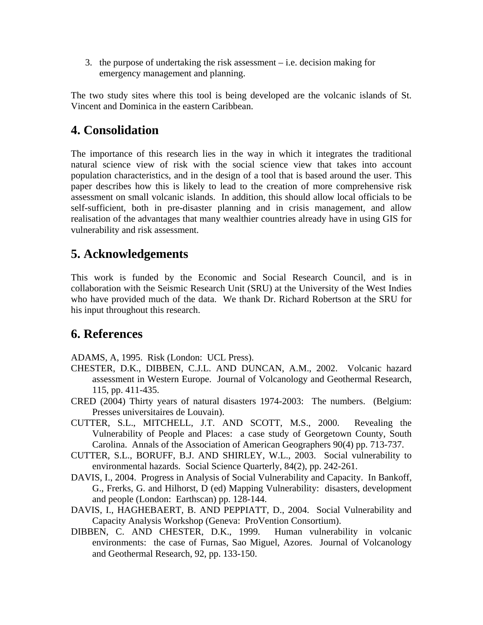3. the purpose of undertaking the risk assessment – i.e. decision making for emergency management and planning.

The two study sites where this tool is being developed are the volcanic islands of St. Vincent and Dominica in the eastern Caribbean.

# **4. Consolidation**

The importance of this research lies in the way in which it integrates the traditional natural science view of risk with the social science view that takes into account population characteristics, and in the design of a tool that is based around the user. This paper describes how this is likely to lead to the creation of more comprehensive risk assessment on small volcanic islands. In addition, this should allow local officials to be self-sufficient, both in pre-disaster planning and in crisis management, and allow realisation of the advantages that many wealthier countries already have in using GIS for vulnerability and risk assessment.

# **5. Acknowledgements**

This work is funded by the Economic and Social Research Council, and is in collaboration with the Seismic Research Unit (SRU) at the University of the West Indies who have provided much of the data. We thank Dr. Richard Robertson at the SRU for his input throughout this research.

### **6. References**

ADAMS, A, 1995. Risk (London: UCL Press).

- CHESTER, D.K., DIBBEN, C.J.L. AND DUNCAN, A.M., 2002. Volcanic hazard assessment in Western Europe. Journal of Volcanology and Geothermal Research, 115, pp. 411-435.
- CRED (2004) Thirty years of natural disasters 1974-2003: The numbers. (Belgium: Presses universitaires de Louvain).
- CUTTER, S.L., MITCHELL, J.T. AND SCOTT, M.S., 2000. Revealing the Vulnerability of People and Places: a case study of Georgetown County, South Carolina. Annals of the Association of American Geographers 90(4) pp. 713-737.
- CUTTER, S.L., BORUFF, B.J. AND SHIRLEY, W.L., 2003. Social vulnerability to environmental hazards. Social Science Quarterly*,* 84(2), pp. 242-261.
- DAVIS, I., 2004. Progress in Analysis of Social Vulnerability and Capacity. In Bankoff, G., Frerks, G. and Hilhorst, D (ed) Mapping Vulnerability: disasters, development and people (London: Earthscan) pp. 128-144.
- DAVIS, I., HAGHEBAERT, B. AND PEPPIATT, D., 2004. Social Vulnerability and Capacity Analysis Workshop (Geneva: ProVention Consortium).
- DIBBEN, C. AND CHESTER, D.K., 1999. Human vulnerability in volcanic environments: the case of Furnas, Sao Miguel, Azores. Journal of Volcanology and Geothermal Research, 92, pp. 133-150.